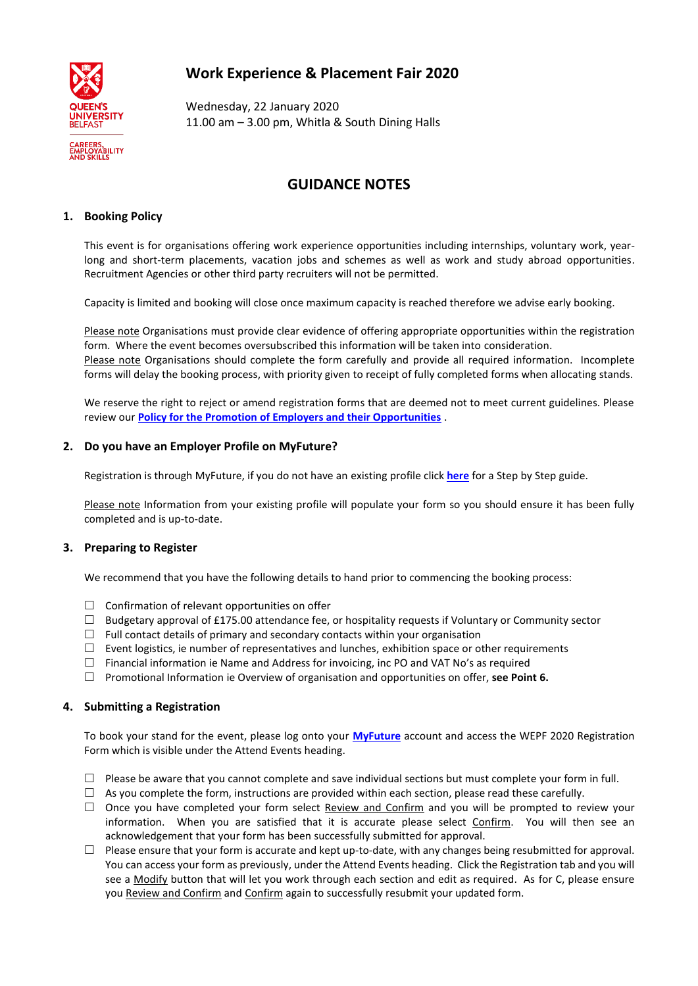# **Work Experience & Placement Fair 2020**



Wednesday, 22 January 2020 11.00 am – 3.00 pm, Whitla & South Dining Halls

# **GUIDANCE NOTES**

## **1. Booking Policy**

This event is for organisations offering work experience opportunities including internships, voluntary work, yearlong and short-term placements, vacation jobs and schemes as well as work and study abroad opportunities. Recruitment Agencies or other third party recruiters will not be permitted.

Capacity is limited and booking will close once maximum capacity is reached therefore we advise early booking.

Please note Organisations must provide clear evidence of offering appropriate opportunities within the registration form. Where the event becomes oversubscribed this information will be taken into consideration. Please note Organisations should complete the form carefully and provide all required information. Incomplete forms will delay the booking process, with priority given to receipt of fully completed forms when allocating stands.

We reserve the right to reject or amend registration forms that are deemed not to meet current guidelines. Please review our **[Policy for the Promotion of Employers and their Opportunities](https://www.qub.ac.uk/directorates/AcademicStudentAffairs/Publications/DASAPoliciesandProceduresManual/filestore/CESDASAPolicydocs/Filetoupload,409022,en.pdf)** .

## **2. Do you have an Employer Profile on MyFuture?**

Registration is through MyFuture, if you do not have an existing profile click **[here](http://www.qub.ac.uk/sites/EmployerGateway-RecruitOurStudents/MyFuture/)** for a Step by Step guide.

Please note Information from your existing profile will populate your form so you should ensure it has been fully completed and is up-to-date.

## **3. Preparing to Register**

We recommend that you have the following details to hand prior to commencing the booking process:

- $\Box$  Confirmation of relevant opportunities on offer
- $\Box$  Budgetary approval of £175.00 attendance fee, or hospitality requests if Voluntary or Community sector
- $\Box$  Full contact details of primary and secondary contacts within your organisation
- $\Box$  Event logistics, ie number of representatives and lunches, exhibition space or other requirements
- $\Box$  Financial information ie Name and Address for invoicing, inc PO and VAT No's as required
- Promotional Information ie Overview of organisation and opportunities on offer, **see Point 6.**

#### **4. Submitting a Registration**

To book your stand for the event, please log onto your **[MyFuture](https://qub-csm.symplicity.com/employers/)** account and access the WEPF 2020 Registration Form which is visible under the Attend Events heading.

- $\Box$  Please be aware that you cannot complete and save individual sections but must complete your form in full.
- $\Box$  As you complete the form, instructions are provided within each section, please read these carefully.
- $\Box$  Once you have completed your form select Review and Confirm and you will be prompted to review your information. When you are satisfied that it is accurate please select Confirm. You will then see an acknowledgement that your form has been successfully submitted for approval.
- $\Box$  Please ensure that your form is accurate and kept up-to-date, with any changes being resubmitted for approval. You can access your form as previously, under the Attend Events heading. Click the Registration tab and you will see a Modify button that will let you work through each section and edit as required. As for C, please ensure you Review and Confirm and Confirm again to successfully resubmit your updated form.